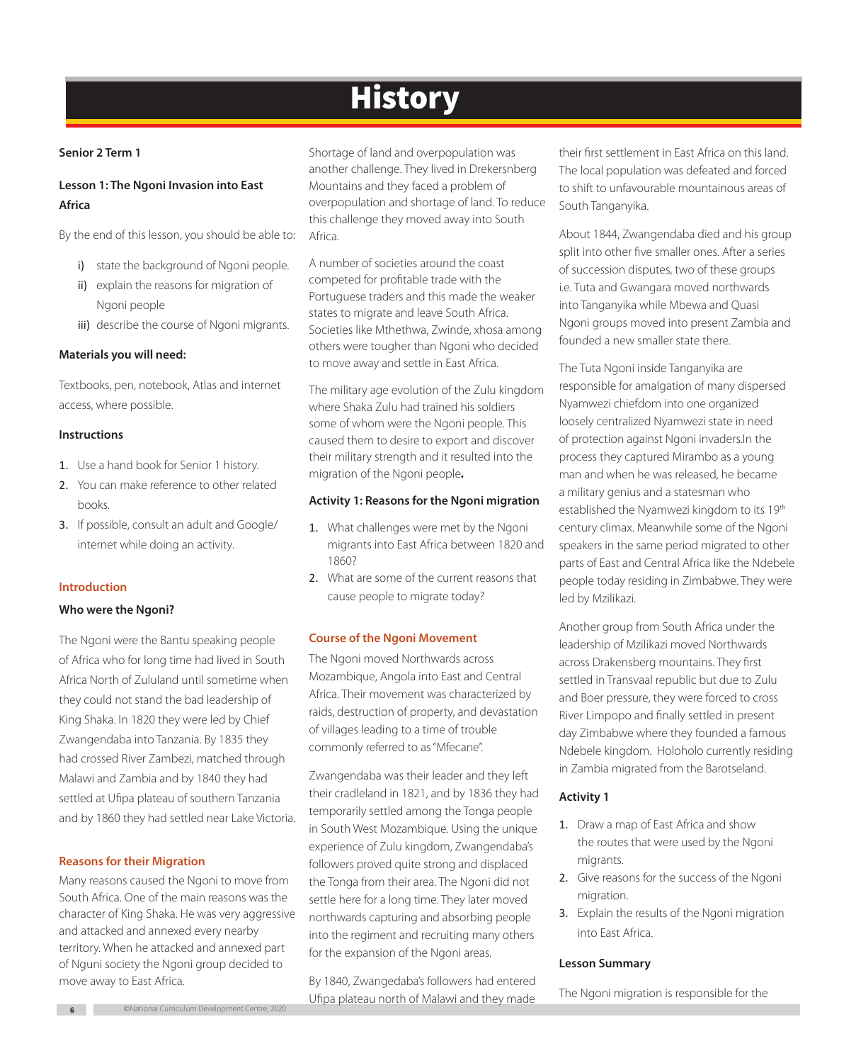# **History**

# **Senior 2 Term 1**

# **Lesson 1: The Ngoni Invasion into East Africa**

By the end of this lesson, you should be able to:

- i) state the background of Ngoni people.
- ii) explain the reasons for migration of Ngoni people
- iii) describe the course of Ngoni migrants.

# **Materials you will need:**

Textbooks, pen, notebook, Atlas and internet access, where possible.

# **Instructions**

- 1. Use a hand book for Senior 1 history.
- 2. You can make reference to other related books.
- 3. If possible, consult an adult and Google/ internet while doing an activity.

# **Introduction**

# **Who were the Ngoni?**

The Ngoni were the Bantu speaking people of Africa who for long time had lived in South Africa North of Zululand until sometime when they could not stand the bad leadership of King Shaka. In 1820 they were led by Chief Zwangendaba into Tanzania. By 1835 they had crossed River Zambezi, matched through Malawi and Zambia and by 1840 they had settled at Ufipa plateau of southern Tanzania and by 1860 they had settled near Lake Victoria.

# **Reasons for their Migration**

Many reasons caused the Ngoni to move from South Africa. One of the main reasons was the character of King Shaka. He was very aggressive and attacked and annexed every nearby territory. When he attacked and annexed part of Nguni society the Ngoni group decided to move away to East Africa.

Shortage of land and overpopulation was another challenge. They lived in Drekersnberg Mountains and they faced a problem of overpopulation and shortage of land. To reduce this challenge they moved away into South Africa.

A number of societies around the coast competed for profitable trade with the Portuguese traders and this made the weaker states to migrate and leave South Africa. Societies like Mthethwa, Zwinde, xhosa among others were tougher than Ngoni who decided to move away and settle in East Africa.

The military age evolution of the Zulu kingdom where Shaka Zulu had trained his soldiers some of whom were the Ngoni people. This caused them to desire to export and discover their military strength and it resulted into the migration of the Ngoni people*.* 

# **Activity 1: Reasons for the Ngoni migration**

- 1. What challenges were met by the Ngoni migrants into East Africa between 1820 and 1860?
- 2. What are some of the current reasons that cause people to migrate today?

# **Course of the Ngoni Movement**

The Ngoni moved Northwards across Mozambique, Angola into East and Central Africa. Their movement was characterized by raids, destruction of property, and devastation of villages leading to a time of trouble commonly referred to as "Mfecane".

Zwangendaba was their leader and they left their cradleland in 1821, and by 1836 they had temporarily settled among the Tonga people in South West Mozambique. Using the unique experience of Zulu kingdom, Zwangendaba's followers proved quite strong and displaced the Tonga from their area. The Ngoni did not settle here for a long time. They later moved northwards capturing and absorbing people into the regiment and recruiting many others for the expansion of the Ngoni areas.

By 1840, Zwangedaba's followers had entered Ufipa plateau north of Malawi and they made

their first settlement in East Africa on this land. The local population was defeated and forced to shift to unfavourable mountainous areas of South Tanganyika.

About 1844, Zwangendaba died and his group split into other five smaller ones. After a series of succession disputes, two of these groups i.e. Tuta and Gwangara moved northwards into Tanganyika while Mbewa and Quasi Ngoni groups moved into present Zambia and founded a new smaller state there.

The Tuta Ngoni inside Tanganyika are responsible for amalgation of many dispersed Nyamwezi chiefdom into one organized loosely centralized Nyamwezi state in need of protection against Ngoni invaders.In the process they captured Mirambo as a young man and when he was released, he became a military genius and a statesman who established the Nyamwezi kingdom to its 19<sup>th</sup> century climax. Meanwhile some of the Ngoni speakers in the same period migrated to other parts of East and Central Africa like the Ndebele people today residing in Zimbabwe. They were led by Mzilikazi.

Another group from South Africa under the leadership of Mzilikazi moved Northwards across Drakensberg mountains. They first settled in Transvaal republic but due to Zulu and Boer pressure, they were forced to cross River Limpopo and finally settled in present day Zimbabwe where they founded a famous Ndebele kingdom. Holoholo currently residing in Zambia migrated from the Barotseland.

# **Activity 1**

- 1. Draw a map of East Africa and show the routes that were used by the Ngoni migrants.
- 2. Give reasons for the success of the Ngoni migration.
- 3. Explain the results of the Ngoni migration into East Africa.

# **Lesson Summary**

The Ngoni migration is responsible for the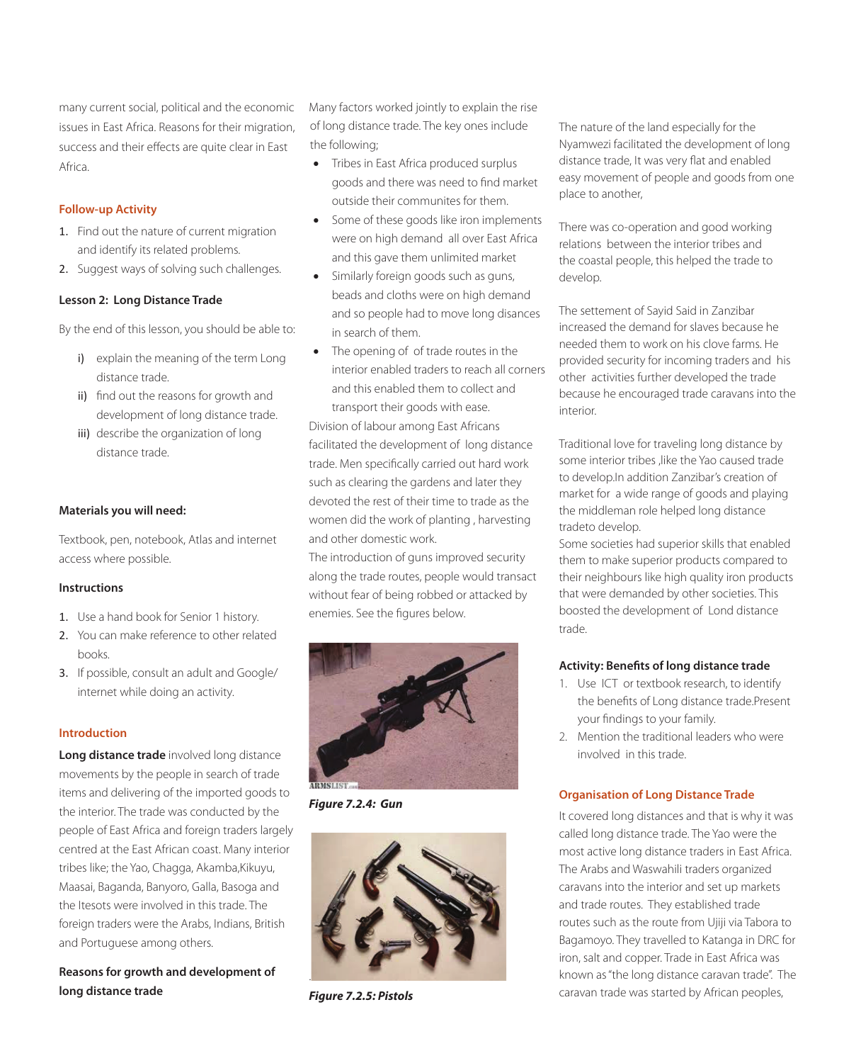many current social, political and the economic issues in East Africa. Reasons for their migration, success and their effects are quite clear in East Africa.

# **Follow-up Activity**

- 1. Find out the nature of current migration and identify its related problems.
- 2. Suggest ways of solving such challenges.

## **Lesson 2: Long Distance Trade**

By the end of this lesson, you should be able to:

- i) explain the meaning of the term Long distance trade.
- ii) find out the reasons for growth and development of long distance trade.
- iii) describe the organization of long distance trade.

## **Materials you will need:**

Textbook, pen, notebook, Atlas and internet access where possible.

### **Instructions**

- 1. Use a hand book for Senior 1 history.
- 2. You can make reference to other related books.
- 3. If possible, consult an adult and Google/ internet while doing an activity.

### **Introduction**

**Long distance trade** involved long distance movements by the people in search of trade items and delivering of the imported goods to the interior. The trade was conducted by the people of East Africa and foreign traders largely centred at the East African coast. Many interior tribes like; the Yao, Chagga, Akamba,Kikuyu, Maasai, Baganda, Banyoro, Galla, Basoga and the Itesots were involved in this trade. The foreign traders were the Arabs, Indians, British and Portuguese among others.

**Reasons for growth and development of long distance trade**

Many factors worked jointly to explain the rise of long distance trade. The key ones include the following;

- Tribes in East Africa produced surplus goods and there was need to find market outside their communites for them.
- Some of these goods like iron implements were on high demand all over East Africa and this gave them unlimited market
- Similarly foreign goods such as guns, beads and cloths were on high demand and so people had to move long disances in search of them.
- The opening of of trade routes in the interior enabled traders to reach all corners and this enabled them to collect and transport their goods with ease.

Division of labour among East Africans facilitated the development of long distance trade. Men specifically carried out hard work such as clearing the gardens and later they devoted the rest of their time to trade as the women did the work of planting , harvesting and other domestic work.

The introduction of guns improved security along the trade routes, people would transact without fear of being robbed or attacked by enemies. See the figures below.



*Figure 7.2.4: Gun* 



*Figure 7.2.5: Pistols*

The nature of the land especially for the Nyamwezi facilitated the development of long distance trade, It was very flat and enabled easy movement of people and goods from one place to another,

There was co-operation and good working relations between the interior tribes and the coastal people, this helped the trade to develop.

The settement of Sayid Said in Zanzibar increased the demand for slaves because he needed them to work on his clove farms. He provided security for incoming traders and his other activities further developed the trade because he encouraged trade caravans into the interior.

Traditional love for traveling long distance by some interior tribes ,like the Yao caused trade to develop.In addition Zanzibar's creation of market for a wide range of goods and playing the middleman role helped long distance tradeto develop.

Some societies had superior skills that enabled them to make superior products compared to their neighbours like high quality iron products that were demanded by other societies. This boosted the development of Lond distance trade.

## **Activity: Benefits of long distance trade**

- 1. Use ICT or textbook research, to identify the benefits of Long distance trade.Present your findings to your family.
- 2. Mention the traditional leaders who were involved in this trade.

## **Organisation of Long Distance Trade**

It covered long distances and that is why it was called long distance trade. The Yao were the most active long distance traders in East Africa. The Arabs and Waswahili traders organized caravans into the interior and set up markets and trade routes. They established trade routes such as the route from Ujiji via Tabora to Bagamoyo. They travelled to Katanga in DRC for iron, salt and copper. Trade in East Africa was known as "the long distance caravan trade". The caravan trade was started by African peoples,